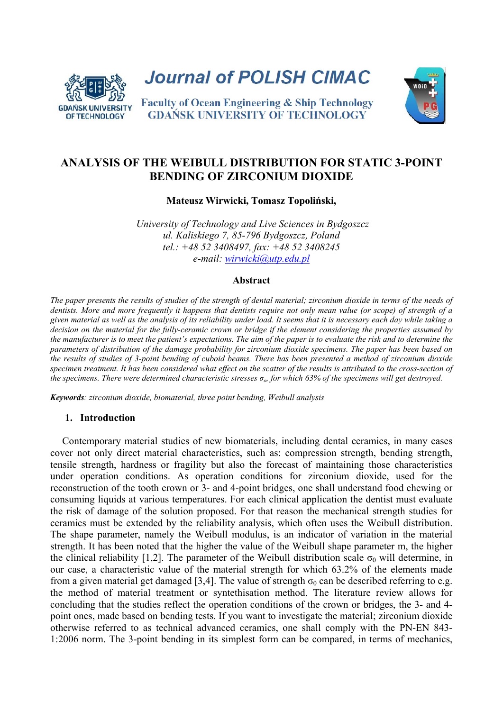

**Journal of POLISH CIMAC** 



**Faculty of Ocean Engineering & Ship Technology GDANSK UNIVERSITY OF TECHNOLOGY** 

# **ANALYSIS OF THE WEIBULL DISTRIBUTION FOR STATIC 3-POINT BENDING OF ZIRCONIUM DIOXIDE**

**Mateusz Wirwicki, Tomasz Topoliński,** 

*University of Technology and Live Sciences in Bydgoszcz ul. Kaliskiego 7, 85-796 Bydgoszcz, Poland tel.: +48 52 3408497, fax: +48 52 3408245 e-mail: wirwicki@utp.edu.pl*

## **Abstract**

*The paper presents the results of studies of the strength of dental material; zirconium dioxide in terms of the needs of dentists. More and more frequently it happens that dentists require not only mean value (or scope) of strength of a given material as well as the analysis of its reliability under load. It seems that it is necessary each day while taking a decision on the material for the fully-ceramic crown or bridge if the element considering the properties assumed by the manufacturer is to meet the patient's expectations. The aim of the paper is to evaluate the risk and to determine the parameters of distribution of the damage probability for zirconium dioxide specimens. The paper has been based on the results of studies of 3-point bending of cuboid beams. There has been presented a method of zirconium dioxide specimen treatment. It has been considered what effect on the scatter of the results is attributed to the cross-section of the specimens. There were determined characteristic stresses σo, for which 63% of the specimens will get destroyed.* 

*Keywords: zirconium dioxide, biomaterial, three point bending, Weibull analysis* 

## **1. Introduction**

Contemporary material studies of new biomaterials, including dental ceramics, in many cases cover not only direct material characteristics, such as: compression strength, bending strength, tensile strength, hardness or fragility but also the forecast of maintaining those characteristics under operation conditions. As operation conditions for zirconium dioxide, used for the reconstruction of the tooth crown or 3- and 4-point bridges, one shall understand food chewing or consuming liquids at various temperatures. For each clinical application the dentist must evaluate the risk of damage of the solution proposed. For that reason the mechanical strength studies for ceramics must be extended by the reliability analysis, which often uses the Weibull distribution. The shape parameter, namely the Weibull modulus, is an indicator of variation in the material strength. It has been noted that the higher the value of the Weibull shape parameter m, the higher the clinical reliability [1,2]. The parameter of the Weibull distribution scale  $\sigma_0$  will determine, in our case, a characteristic value of the material strength for which 63.2% of the elements made from a given material get damaged [3,4]. The value of strength  $\sigma_0$  can be described referring to e.g. the method of material treatment or syntethisation method. The literature review allows for concluding that the studies reflect the operation conditions of the crown or bridges, the 3- and 4 point ones, made based on bending tests. If you want to investigate the material; zirconium dioxide otherwise referred to as technical advanced ceramics, one shall comply with the PN-EN 843- 1:2006 norm. The 3-point bending in its simplest form can be compared, in terms of mechanics,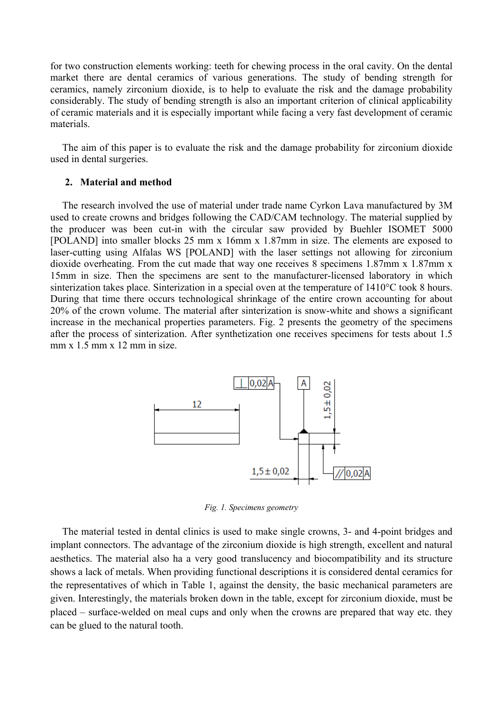for two construction elements working: teeth for chewing process in the oral cavity. On the dental market there are dental ceramics of various generations. The study of bending strength for ceramics, namely zirconium dioxide, is to help to evaluate the risk and the damage probability considerably. The study of bending strength is also an important criterion of clinical applicability of ceramic materials and it is especially important while facing a very fast development of ceramic materials.

The aim of this paper is to evaluate the risk and the damage probability for zirconium dioxide used in dental surgeries.

### **2. Material and method**

The research involved the use of material under trade name Cyrkon Lava manufactured by 3M used to create crowns and bridges following the CAD/CAM technology. The material supplied by the producer was been cut-in with the circular saw provided by Buehler ISOMET 5000 [POLAND] into smaller blocks 25 mm x 16mm x 1.87mm in size. The elements are exposed to laser-cutting using Alfalas WS [POLAND] with the laser settings not allowing for zirconium dioxide overheating. From the cut made that way one receives 8 specimens 1.87mm x 1.87mm x 15mm in size. Then the specimens are sent to the manufacturer-licensed laboratory in which sinterization takes place. Sinterization in a special oven at the temperature of 1410°C took 8 hours. During that time there occurs technological shrinkage of the entire crown accounting for about 20% of the crown volume. The material after sinterization is snow-white and shows a significant increase in the mechanical properties parameters. Fig. 2 presents the geometry of the specimens after the process of sinterization. After synthetization one receives specimens for tests about 1.5 mm x 1.5 mm x 12 mm in size.



*Fig. 1. Specimens geometry* 

The material tested in dental clinics is used to make single crowns, 3- and 4-point bridges and implant connectors. The advantage of the zirconium dioxide is high strength, excellent and natural aesthetics. The material also ha a very good translucency and biocompatibility and its structure shows a lack of metals. When providing functional descriptions it is considered dental ceramics for the representatives of which in Table 1, against the density, the basic mechanical parameters are given. Interestingly, the materials broken down in the table, except for zirconium dioxide, must be placed – surface-welded on meal cups and only when the crowns are prepared that way etc. they can be glued to the natural tooth.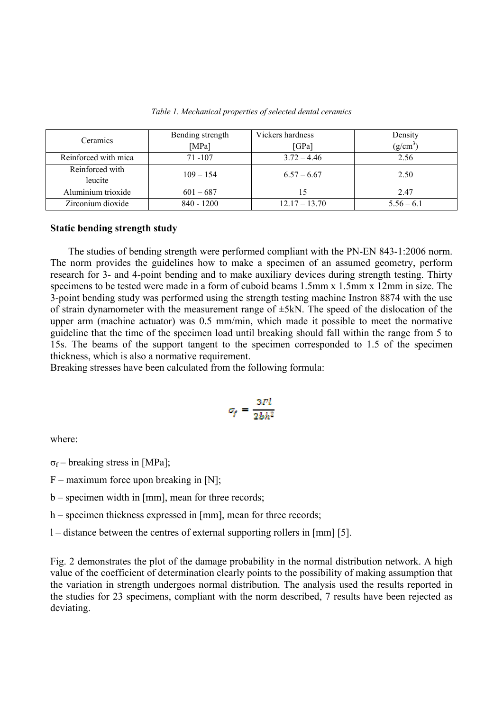| Ceramics             | Bending strength | Vickers hardness | Density      |  |
|----------------------|------------------|------------------|--------------|--|
|                      | [MPa]            | [GPa]            | $(g/cm^3)$   |  |
| Reinforced with mica | $71 - 107$       | $3.72 - 4.46$    | 2.56         |  |
| Reinforced with      | $109 - 154$      | $6.57 - 6.67$    | 2.50         |  |
| leucite              |                  |                  |              |  |
| Aluminium trioxide   | $601 - 687$      |                  | 2.47         |  |
| Zirconium dioxide    | $840 - 1200$     | $12.17 - 13.70$  | $5.56 - 6.1$ |  |

*Table 1. Mechanical properties of selected dental ceramics*

#### **Static bending strength study**

The studies of bending strength were performed compliant with the PN-EN 843-1:2006 norm. The norm provides the guidelines how to make a specimen of an assumed geometry, perform research for 3- and 4-point bending and to make auxiliary devices during strength testing. Thirty specimens to be tested were made in a form of cuboid beams 1.5mm x 1.5mm x 12mm in size. The 3-point bending study was performed using the strength testing machine Instron 8874 with the use of strain dynamometer with the measurement range of  $\pm$ 5kN. The speed of the dislocation of the upper arm (machine actuator) was 0.5 mm/min, which made it possible to meet the normative guideline that the time of the specimen load until breaking should fall within the range from 5 to 15s. The beams of the support tangent to the specimen corresponded to 1.5 of the specimen thickness, which is also a normative requirement.

Breaking stresses have been calculated from the following formula:

$$
\sigma_f = \frac{3Fl}{2bh^2}
$$

where:

- $\sigma_f$  breaking stress in [MPa];
- $F$  maximum force upon breaking in [N];
- b specimen width in [mm], mean for three records;
- h specimen thickness expressed in [mm], mean for three records;
- l distance between the centres of external supporting rollers in [mm] [5].

Fig. 2 demonstrates the plot of the damage probability in the normal distribution network. A high value of the coefficient of determination clearly points to the possibility of making assumption that the variation in strength undergoes normal distribution. The analysis used the results reported in the studies for 23 specimens, compliant with the norm described, 7 results have been rejected as deviating.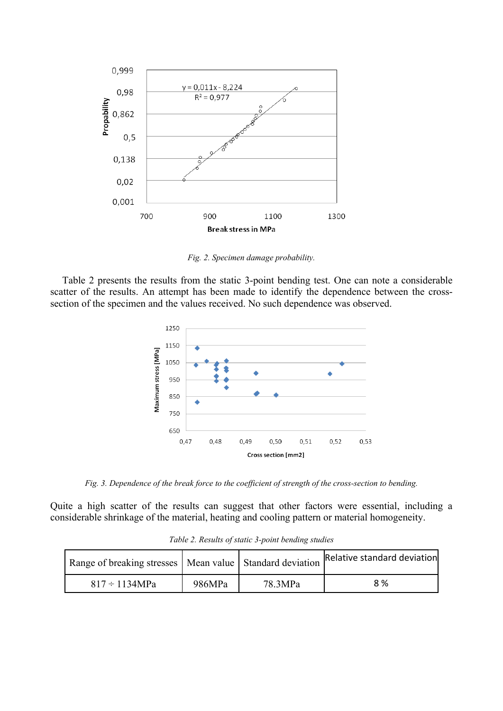

*Fig. 2. Specimen damage probability.* 

Table 2 presents the results from the static 3-point bending test. One can note a considerable scatter of the results. An attempt has been made to identify the dependence between the crosssection of the specimen and the values received. No such dependence was observed.



*Fig. 3. Dependence of the break force to the coefficient of strength of the cross-section to bending.* 

Quite a high scatter of the results can suggest that other factors were essential, including a considerable shrinkage of the material, heating and cooling pattern or material homogeneity.

| Range of breaking stresses   Mean value   Standard deviation   Relative standard deviation |        |         |     |
|--------------------------------------------------------------------------------------------|--------|---------|-----|
| $817 \div 1134 MPa$                                                                        | 986MPa | 78.3MPa | 8 % |

*Table 2. Results of static 3-point bending studies*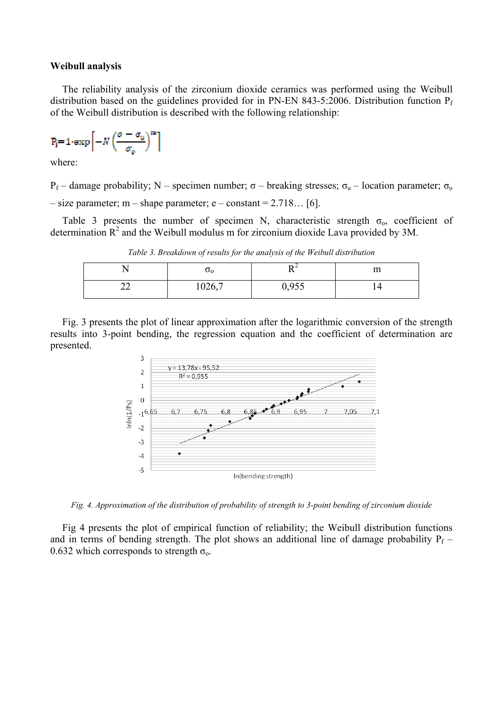#### **Weibull analysis**

The reliability analysis of the zirconium dioxide ceramics was performed using the Weibull distribution based on the guidelines provided for in PN-EN 843-5:2006. Distribution function  $P_f$ of the Weibull distribution is described with the following relationship:

$$
\text{P}_\text{i}\text{=1-exp}\bigg[-N\left(\frac{\sigma-\sigma_u}{\sigma_o}\right)^m\bigg]
$$

where:

 $P_f$  – damage probability; N – specimen number; σ – breaking stresses; σ<sub>u</sub> – location parameter; σ<sub>o</sub>  $-$  size parameter; m  $-$  shape parameter; e  $-$  constant  $= 2.718...$  [6].

Table 3 presents the number of specimen N, characteristic strength  $\sigma_0$ , coefficient of determination  $R^2$  and the Weibull modulus m for zirconium dioxide Lava provided by 3M.

*Table 3. Breakdown of results for the analysis of the Weibull distribution* 

|   | υ <sub>0</sub> |       | $\sim$<br>ш |
|---|----------------|-------|-------------|
| ∼ | 1026,7         | 0,955 | . .         |

Fig. 3 presents the plot of linear approximation after the logarithmic conversion of the strength results into 3-point bending, the regression equation and the coefficient of determination are presented.



*Fig. 4. Approximation of the distribution of probability of strength to 3-point bending of zirconium dioxide* 

Fig 4 presents the plot of empirical function of reliability; the Weibull distribution functions and in terms of bending strength. The plot shows an additional line of damage probability  $P_f$  – 0.632 which corresponds to strength  $\sigma_{o}$ .